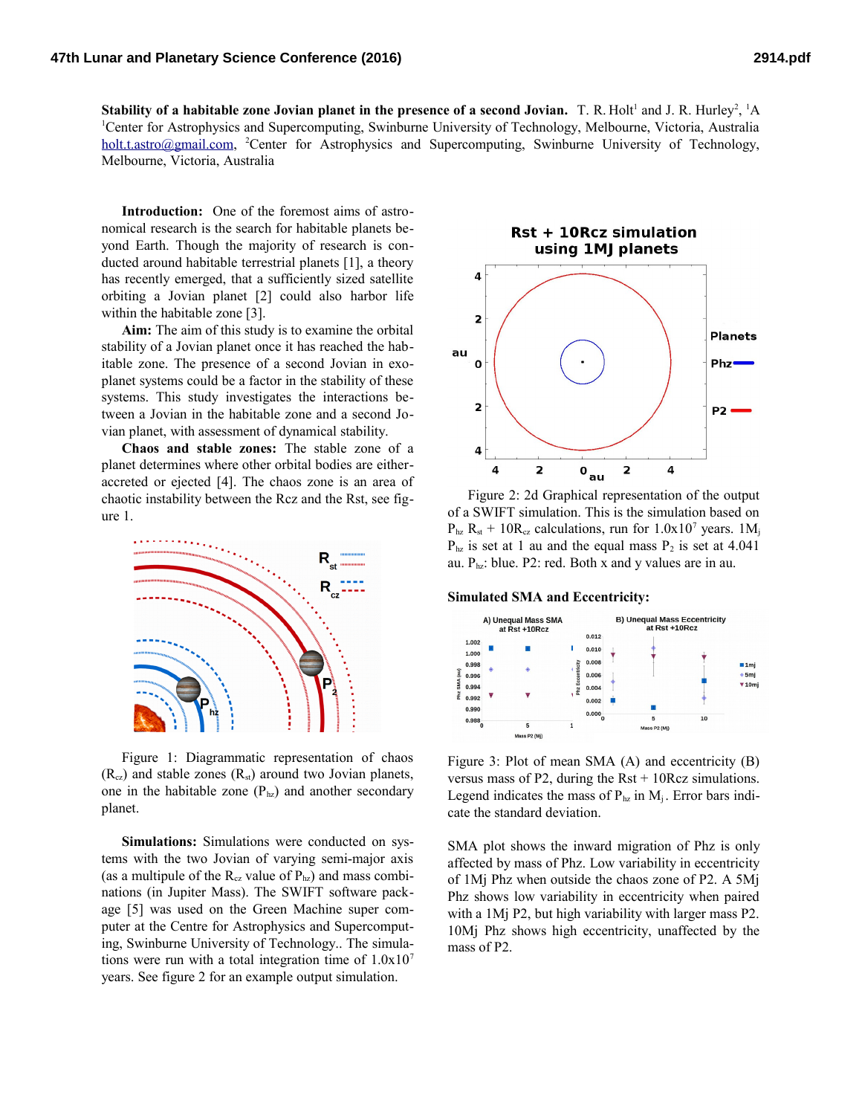**Stability of a habitable zone Jovian planet in the presence of a second Jovian.** T. R. Holt<sup>1</sup> and J. R. Hurley<sup>2</sup>, <sup>1</sup>A <sup>1</sup>Center for Astrophysics and Supercomputing, Swinburne University of Technology, Melbourne, Victoria, Australia [holt.t.astro@gmail.com,](mailto:holt.t.astro@gmail.com) <sup>2</sup>Center for Astrophysics and Supercomputing, Swinburne University of Technology, Melbourne, Victoria, Australia

**Introduction:** One of the foremost aims of astronomical research is the search for habitable planets beyond Earth. Though the majority of research is conducted around habitable terrestrial planets [1], a theory has recently emerged, that a sufficiently sized satellite orbiting a Jovian planet [2] could also harbor life within the habitable zone [3].

**Aim:** The aim of this study is to examine the orbital stability of a Jovian planet once it has reached the habitable zone. The presence of a second Jovian in exoplanet systems could be a factor in the stability of these systems. This study investigates the interactions between a Jovian in the habitable zone and a second Jovian planet, with assessment of dynamical stability.

**Chaos and stable zones:** The stable zone of a planet determines where other orbital bodies are eitheraccreted or ejected [4]. The chaos zone is an area of chaotic instability between the Rcz and the Rst, see figure 1.



Figure 1: Diagrammatic representation of chaos  $(R_{cz})$  and stable zones  $(R_{st})$  around two Jovian planets, one in the habitable zone  $(P_{hz})$  and another secondary planet.

**Simulations:** Simulations were conducted on systems with the two Jovian of varying semi-major axis (as a multipule of the  $R_{cz}$  value of  $P_{hz}$ ) and mass combinations (in Jupiter Mass). The SWIFT software package [5] was used on the Green Machine super computer at the Centre for Astrophysics and Supercomputing, Swinburne University of Technology.. The simulations were run with a total integration time of  $1.0x10<sup>7</sup>$ years. See figure 2 for an example output simulation.



Figure 2: 2d Graphical representation of the output of a SWIFT simulation. This is the simulation based on  $P_{\text{hz}}$  R<sub>st</sub> + 10R<sub>cz</sub> calculations, run for  $1.0x10^7$  years. 1M<sub>i</sub>  $P_{\text{hz}}$  is set at 1 au and the equal mass  $P_2$  is set at 4.041 au.  $P_{hz}$ : blue. P2: red. Both x and y values are in au.

## **Simulated SMA and Eccentricity:**



Figure 3: Plot of mean SMA (A) and eccentricity (B) versus mass of P2, during the  $Rst + 10Rcz$  simulations. Legend indicates the mass of  $P_{hz}$  in  $M_i$ . Error bars indicate the standard deviation.

SMA plot shows the inward migration of Phz is only affected by mass of Phz. Low variability in eccentricity of 1Mj Phz when outside the chaos zone of P2. A 5Mj Phz shows low variability in eccentricity when paired with a 1Mj P2, but high variability with larger mass P2. 10Mj Phz shows high eccentricity, unaffected by the mass of P2.